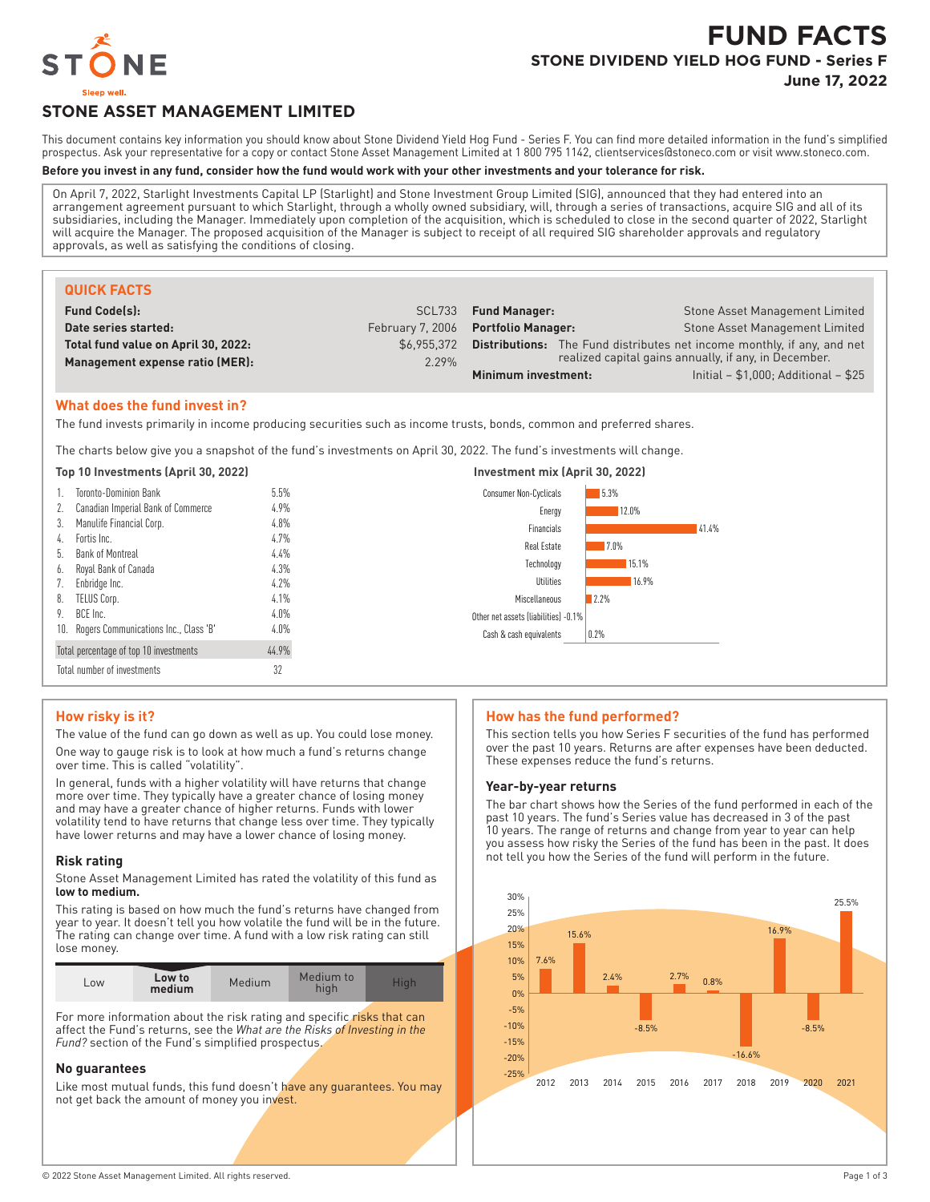

# **FUND FACTS STONE DIVIDEND YIELD HOG FUND - Series F**

**June 17, 2022**

# **STONE ASSET MANAGEMENT LIMITED**

This document contains key information you should know about Stone Dividend Yield Hog Fund - Series F. You can find more detailed information in the fund's simplified prospectus. Ask your representative for a copy or contact Stone Asset Management Limited at 1 800 795 1142, clientservices@stoneco.com or visit www.stoneco.com.

#### **Before you invest in any fund, consider how the fund would work with your other investments and your tolerance for risk.**

On April 7, 2022, Starlight Investments Capital LP (Starlight) and Stone Investment Group Limited (SIG), announced that they had entered into an arrangement agreement pursuant to which Starlight, through a wholly owned subsidiary, will, through a series of transactions, acquire SIG and all of its subsidiaries, including the Manager. Immediately upon completion of the acquisition, which is scheduled to close in the second quarter of 2022, Starlight will acquire the Manager. The proposed acquisition of the Manager is subject to receipt of all required SIG shareholder approvals and regulatory approvals, as well as satisfying the conditions of closing.

| <b>QUICK FACTS</b>                  |             |                                     |                                                                                |
|-------------------------------------|-------------|-------------------------------------|--------------------------------------------------------------------------------|
| <b>Fund Code(s):</b>                | SCL733      | <b>Fund Manager:</b>                | Stone Asset Management Limited                                                 |
| Date series started:                |             | February 7, 2006 Portfolio Manager: | Stone Asset Management Limited                                                 |
| Total fund value on April 30, 2022: | \$6.955.372 |                                     | <b>Distributions:</b> The Fund distributes net income monthly, if any, and net |
| Management expense ratio (MER):     | 2.29%       |                                     | realized capital gains annually, if any, in December.                          |
|                                     |             | Minimum investment:                 | Initial $- $1,000$ ; Additional $- $25$                                        |

# **What does the fund invest in?**

The fund invests primarily in income producing securities such as income trusts, bonds, common and preferred shares.

The charts below give you a snapshot of the fund's investments on April 30, 2022. The fund's investments will change.

|    | Top 10 Investments (April 30, 2022)       |         | Investment mix (April 30, 2022)      |       |
|----|-------------------------------------------|---------|--------------------------------------|-------|
|    | <b>Toronto-Dominion Bank</b>              | 5.5%    | <b>Consumer Non-Cyclicals</b>        | 5.3%  |
|    | Canadian Imperial Bank of Commerce        | 4.9%    | Energy                               | 12.0% |
| 3. | Manulife Financial Corp.                  | 4.8%    | Financials                           | 41.4% |
| 4. | Fortis Inc.                               | 4.7%    | Real Estate                          | 7.0%  |
| b. | Bank of Montreal                          | 4.4%    | Technology                           | 15.1% |
| 6. | Royal Bank of Canada                      | 4.3%    |                                      |       |
|    | Enbridge Inc.                             | 4.2%    | Utilities                            | 16.9% |
| 8. | TELUS Corp.                               | 4.1%    | Miscellaneous                        | 12.2% |
| 9. | BCE Inc.                                  | $4.0\%$ | Other net assets (liabilities) -0.1% |       |
|    | 10. Rogers Communications Inc., Class 'B' | $4.0\%$ | Cash & cash equivalents              | 0.2%  |
|    | Total percentage of top 10 investments    | 44.9%   |                                      |       |
|    | Total number of investments               | 32      |                                      |       |

# **How risky is it?**

The value of the fund can go down as well as up. You could lose money. One way to gauge risk is to look at how much a fund's returns change over time. This is called "volatility".

In general, funds with a higher volatility will have returns that change more over time. They typically have a greater chance of losing money and may have a greater chance of higher returns. Funds with lower volatility tend to have returns that change less over time. They typically have lower returns and may have a lower chance of losing money.

#### **Risk rating**

Stone Asset Management Limited has rated the volatility of this fund as **low to medium.**

This rating is based on how much the fund's returns have changed from year to year. It doesn't tell you how volatile the fund will be in the future. The rating can change over time. A fund with a low risk rating can still lose money.

| Low | Low to<br>medium | Medium | Medium to<br>hiah | Hiah |
|-----|------------------|--------|-------------------|------|
|-----|------------------|--------|-------------------|------|

For more information about the risk rating and specific risks that can affect the Fund's returns, see the *What are the Risks of Investing in the Fund?* section of the Fund's simplified prospectus.

# **No guarantees**

Like most mutual funds, this fund doesn't have any guarantees. You may not get back the amount of money you invest.

#### **How has the fund performed?**

This section tells you how Series F securities of the fund has performed over the past 10 years. Returns are after expenses have been deducted. These expenses reduce the fund's returns.

#### **Year-by-year returns**

The bar chart shows how the Series of the fund performed in each of the past 10 years. The fund's Series value has decreased in 3 of the past 10 years. The range of returns and change from year to year can help you assess how risky the Series of the fund has been in the past. It does not tell you how the Series of the fund will perform in the future.

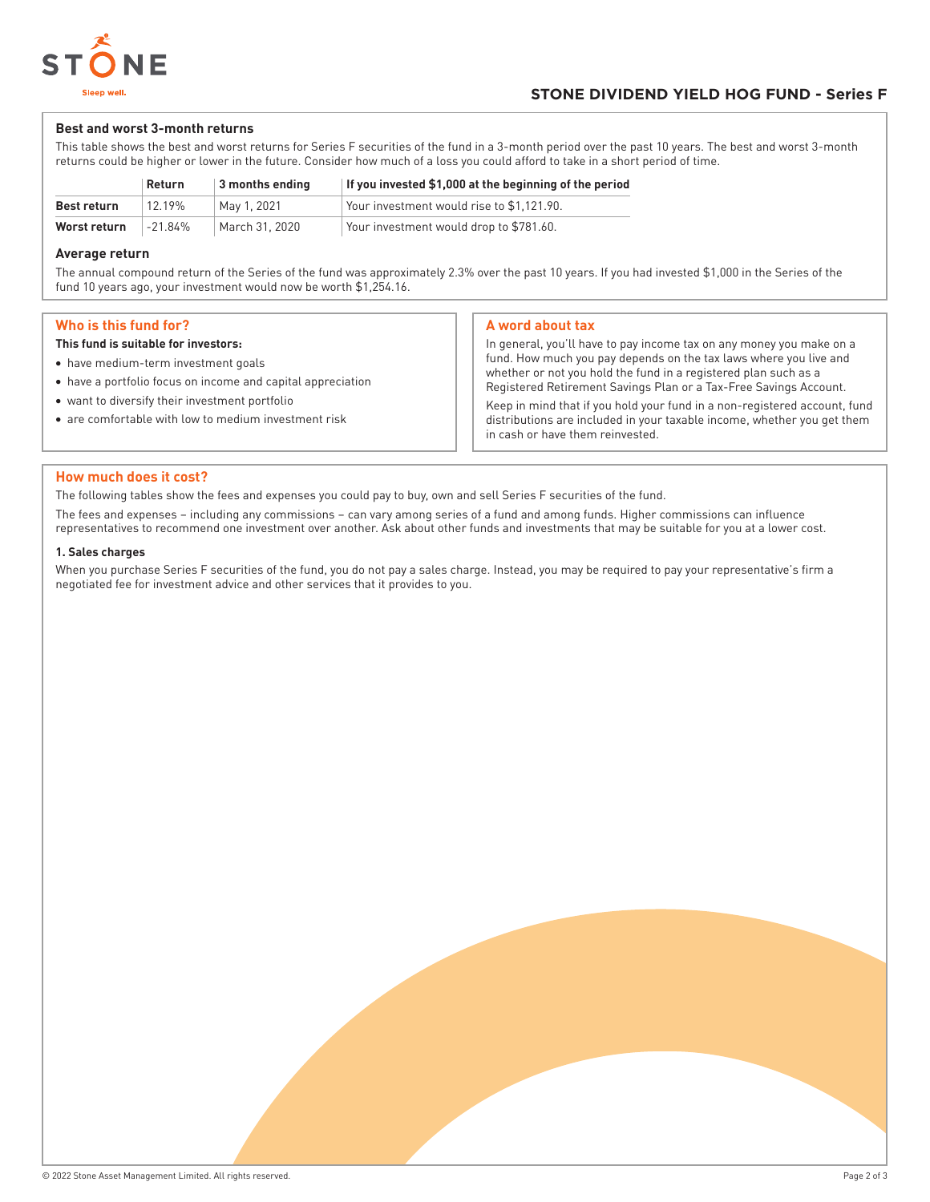

#### **Best and worst 3-month returns**

This table shows the best and worst returns for Series F securities of the fund in a 3-month period over the past 10 years. The best and worst 3-month returns could be higher or lower in the future. Consider how much of a loss you could afford to take in a short period of time.

|              | <b>Return</b> | 3 months ending | If you invested \$1,000 at the beginning of the period |
|--------------|---------------|-----------------|--------------------------------------------------------|
| Best return  | 12.19%        | Mav 1. 2021     | Your investment would rise to \$1.121.90.              |
| Worst return | $-21.84%$     | March 31, 2020  | Your investment would drop to \$781.60.                |

#### **Average return**

The annual compound return of the Series of the fund was approximately 2.3% over the past 10 years. If you had invested \$1,000 in the Series of the fund 10 years ago, your investment would now be worth \$1,254.16.

## **Who is this fund for?**

#### **This fund is suitable for investors:**

- have medium-term investment goals
- have a portfolio focus on income and capital appreciation
- want to diversify their investment portfolio
- are comfortable with low to medium investment risk

## **A word about tax**

In general, you'll have to pay income tax on any money you make on a fund. How much you pay depends on the tax laws where you live and whether or not you hold the fund in a registered plan such as a Registered Retirement Savings Plan or a Tax-Free Savings Account.

Keep in mind that if you hold your fund in a non-registered account, fund distributions are included in your taxable income, whether you get them in cash or have them reinvested.

#### **How much does it cost?**

The following tables show the fees and expenses you could pay to buy, own and sell Series F securities of the fund.

The fees and expenses – including any commissions – can vary among series of a fund and among funds. Higher commissions can influence representatives to recommend one investment over another. Ask about other funds and investments that may be suitable for you at a lower cost.

#### **1. Sales charges**

When you purchase Series F securities of the fund, you do not pay a sales charge. Instead, you may be required to pay your representative's firm a negotiated fee for investment advice and other services that it provides to you.